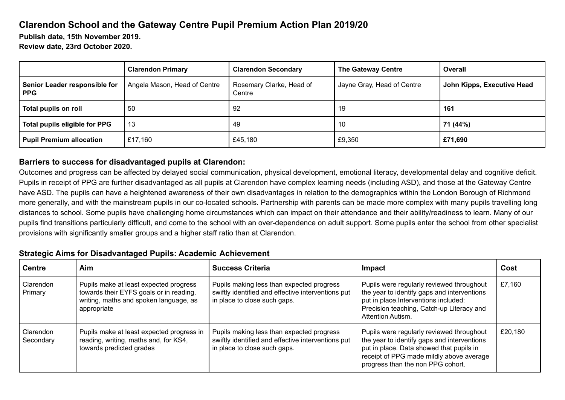## **Clarendon School and the Gateway Centre Pupil Premium Action Plan 2019/20**

**Publish date, 15th November 2019.**

**Review date, 23rd October 2020.**

|                                             | <b>Clarendon Primary</b>     | <b>Clarendon Secondary</b>         | <b>The Gateway Centre</b>  | Overall                    |
|---------------------------------------------|------------------------------|------------------------------------|----------------------------|----------------------------|
| Senior Leader responsible for<br><b>PPG</b> | Angela Mason, Head of Centre | Rosemary Clarke, Head of<br>Centre | Jayne Gray, Head of Centre | John Kipps, Executive Head |
| Total pupils on roll                        | -50                          | 92                                 | 19                         | 161                        |
| Total pupils eligible for PPG               | 13                           | 49                                 | 10                         | 71 (44%)                   |
| <b>Pupil Premium allocation</b>             | £17,160                      | £45,180                            | £9,350                     | £71,690                    |

## **Barriers to success for disadvantaged pupils at Clarendon:**

Outcomes and progress can be affected by delayed social communication, physical development, emotional literacy, developmental delay and cognitive deficit. Pupils in receipt of PPG are further disadvantaged as all pupils at Clarendon have complex learning needs (including ASD), and those at the Gateway Centre have ASD. The pupils can have a heightened awareness of their own disadvantages in relation to the demographics within the London Borough of Richmond more generally, and with the mainstream pupils in our co-located schools. Partnership with parents can be made more complex with many pupils travelling long distances to school. Some pupils have challenging home circumstances which can impact on their attendance and their ability/readiness to learn. Many of our pupils find transitions particularly difficult, and come to the school with an over-dependence on adult support. Some pupils enter the school from other specialist provisions with significantly smaller groups and a higher staff ratio than at Clarendon.

## **Strategic Aims for Disadvantaged Pupils: Academic Achievement**

| <b>Centre</b>          | Aim                                                                                                                                        | <b>Success Criteria</b>                                                                                                         | <b>Impact</b>                                                                                                                                                                                                         | Cost    |
|------------------------|--------------------------------------------------------------------------------------------------------------------------------------------|---------------------------------------------------------------------------------------------------------------------------------|-----------------------------------------------------------------------------------------------------------------------------------------------------------------------------------------------------------------------|---------|
| Clarendon<br>Primary   | Pupils make at least expected progress<br>towards their EYFS goals or in reading,<br>writing, maths and spoken language, as<br>appropriate | Pupils making less than expected progress<br>swiftly identified and effective interventions put<br>in place to close such gaps. | Pupils were regularly reviewed throughout<br>the year to identify gaps and interventions<br>put in place.Interventions included:<br>Precision teaching, Catch-up Literacy and<br>Attention Autism.                    | £7,160  |
| Clarendon<br>Secondary | Pupils make at least expected progress in<br>reading, writing, maths and, for KS4,<br>towards predicted grades                             | Pupils making less than expected progress<br>swiftly identified and effective interventions put<br>in place to close such gaps. | Pupils were regularly reviewed throughout<br>the year to identify gaps and interventions<br>put in place. Data showed that pupils in<br>receipt of PPG made mildly above average<br>progress than the non PPG cohort. | £20,180 |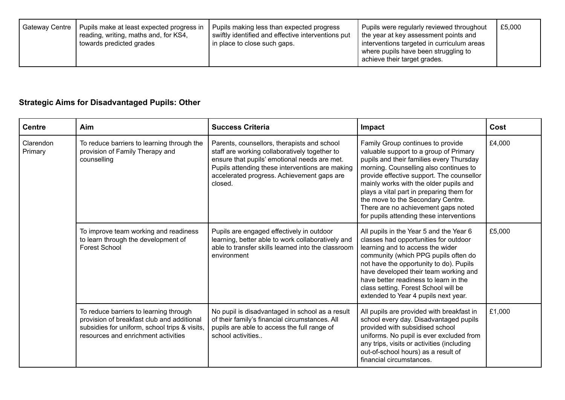| Gateway Centre | Pupils make at least expected progress in<br>reading, writing, maths and, for KS4,<br>towards predicted grades | Pupils making less than expected progress<br>swiftly identified and effective interventions put<br>in place to close such gaps. | Pupils were regularly reviewed throughout<br>the year at key assessment points and<br>interventions targeted in curriculum areas<br>where pupils have been struggling to<br>achieve their target grades. | £5,000 |
|----------------|----------------------------------------------------------------------------------------------------------------|---------------------------------------------------------------------------------------------------------------------------------|----------------------------------------------------------------------------------------------------------------------------------------------------------------------------------------------------------|--------|
|----------------|----------------------------------------------------------------------------------------------------------------|---------------------------------------------------------------------------------------------------------------------------------|----------------------------------------------------------------------------------------------------------------------------------------------------------------------------------------------------------|--------|

## **Strategic Aims for Disadvantaged Pupils: Other**

| <b>Centre</b>        | Aim                                                                                                                                                                          | <b>Success Criteria</b>                                                                                                                                                                                                                                  | Impact                                                                                                                                                                                                                                                                                                                                                                                                                       | Cost   |
|----------------------|------------------------------------------------------------------------------------------------------------------------------------------------------------------------------|----------------------------------------------------------------------------------------------------------------------------------------------------------------------------------------------------------------------------------------------------------|------------------------------------------------------------------------------------------------------------------------------------------------------------------------------------------------------------------------------------------------------------------------------------------------------------------------------------------------------------------------------------------------------------------------------|--------|
| Clarendon<br>Primary | To reduce barriers to learning through the<br>provision of Family Therapy and<br>counselling                                                                                 | Parents, counsellors, therapists and school<br>staff are working collaboratively together to<br>ensure that pupils' emotional needs are met.<br>Pupils attending these interventions are making<br>accelerated progress. Achievement gaps are<br>closed. | Family Group continues to provide<br>valuable support to a group of Primary<br>pupils and their families every Thursday<br>morning. Counselling also continues to<br>provide effective support. The counsellor<br>mainly works with the older pupils and<br>plays a vital part in preparing them for<br>the move to the Secondary Centre.<br>There are no achievement gaps noted<br>for pupils attending these interventions | £4,000 |
|                      | To improve team working and readiness<br>to learn through the development of<br><b>Forest School</b>                                                                         | Pupils are engaged effectively in outdoor<br>learning, better able to work collaboratively and<br>able to transfer skills learned into the classroom<br>environment                                                                                      | All pupils in the Year 5 and the Year 6<br>classes had opportunities for outdoor<br>learning and to access the wider<br>community (which PPG pupils often do<br>not have the opportunity to do). Pupils<br>have developed their team working and<br>have better readiness to learn in the<br>class setting. Forest School will be<br>extended to Year 4 pupils next year.                                                    | £5,000 |
|                      | To reduce barriers to learning through<br>provision of breakfast club and additional<br>subsidies for uniform, school trips & visits,<br>resources and enrichment activities | No pupil is disadvantaged in school as a result<br>of their family's financial circumstances. All<br>pupils are able to access the full range of<br>school activities                                                                                    | All pupils are provided with breakfast in<br>school every day. Disadvantaged pupils<br>provided with subsidised school<br>uniforms. No pupil is ever excluded from<br>any trips, visits or activities (including<br>out-of-school hours) as a result of<br>financial circumstances.                                                                                                                                          | £1,000 |